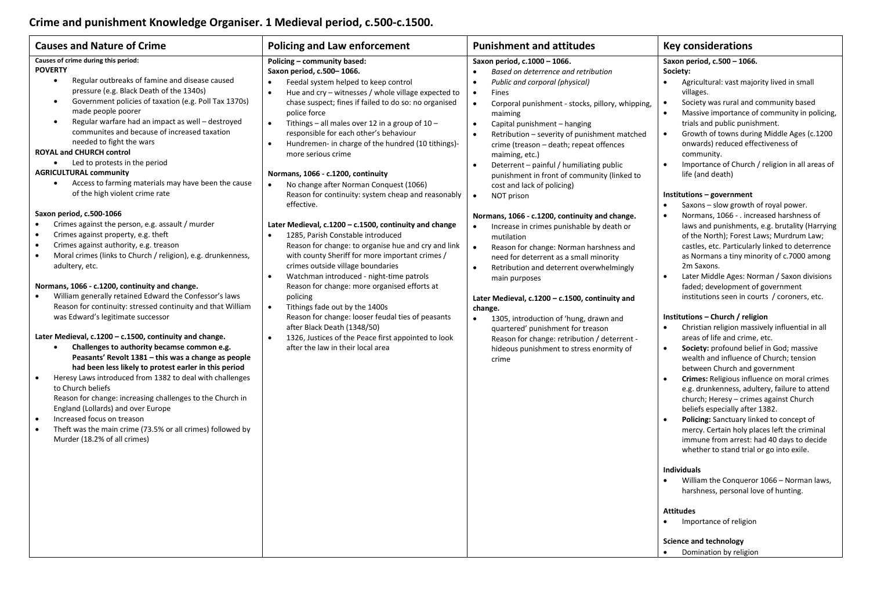## **Crime and punishment Knowledge Organiser. 1 Medieval period, c.500-c.1500.**

| Causes of crime during this period:                                                                                                                                                                                                                                                                                                                                                                                                                                                                                                                                                                                                                                                                                                                                                                                                                                                                                                                                                                                                                                                                                                                                                                                                                                                                                                                                                                                                                                                                                                                                                                                                                                                                                                                                                                                                                                                                                                                                                                                                                                                                                                                                                                                                                                                                                                                                                                                                                                                                                                                                                                                                                                                                                                                                                                                                                                                                                                                                           | Saxon period, c.500 - 1066.                                                                                                                                                                                                                                                                                                                                                                                                                                                                                                                                                                                                                                                                                                                                                                                                                                                                                                                                                                                                                                                                                                                                                                                                                                                                                                                                                                                                                                                                                                                                                                                                                                                                                                                                                                                                                                                                                                                                                                                                                                                                                                                                                                                                                                                                                                                                           |
|-------------------------------------------------------------------------------------------------------------------------------------------------------------------------------------------------------------------------------------------------------------------------------------------------------------------------------------------------------------------------------------------------------------------------------------------------------------------------------------------------------------------------------------------------------------------------------------------------------------------------------------------------------------------------------------------------------------------------------------------------------------------------------------------------------------------------------------------------------------------------------------------------------------------------------------------------------------------------------------------------------------------------------------------------------------------------------------------------------------------------------------------------------------------------------------------------------------------------------------------------------------------------------------------------------------------------------------------------------------------------------------------------------------------------------------------------------------------------------------------------------------------------------------------------------------------------------------------------------------------------------------------------------------------------------------------------------------------------------------------------------------------------------------------------------------------------------------------------------------------------------------------------------------------------------------------------------------------------------------------------------------------------------------------------------------------------------------------------------------------------------------------------------------------------------------------------------------------------------------------------------------------------------------------------------------------------------------------------------------------------------------------------------------------------------------------------------------------------------------------------------------------------------------------------------------------------------------------------------------------------------------------------------------------------------------------------------------------------------------------------------------------------------------------------------------------------------------------------------------------------------------------------------------------------------------------------------------------------------|-----------------------------------------------------------------------------------------------------------------------------------------------------------------------------------------------------------------------------------------------------------------------------------------------------------------------------------------------------------------------------------------------------------------------------------------------------------------------------------------------------------------------------------------------------------------------------------------------------------------------------------------------------------------------------------------------------------------------------------------------------------------------------------------------------------------------------------------------------------------------------------------------------------------------------------------------------------------------------------------------------------------------------------------------------------------------------------------------------------------------------------------------------------------------------------------------------------------------------------------------------------------------------------------------------------------------------------------------------------------------------------------------------------------------------------------------------------------------------------------------------------------------------------------------------------------------------------------------------------------------------------------------------------------------------------------------------------------------------------------------------------------------------------------------------------------------------------------------------------------------------------------------------------------------------------------------------------------------------------------------------------------------------------------------------------------------------------------------------------------------------------------------------------------------------------------------------------------------------------------------------------------------------------------------------------------------------------------------------------------------|
| Policing - community based:                                                                                                                                                                                                                                                                                                                                                                                                                                                                                                                                                                                                                                                                                                                                                                                                                                                                                                                                                                                                                                                                                                                                                                                                                                                                                                                                                                                                                                                                                                                                                                                                                                                                                                                                                                                                                                                                                                                                                                                                                                                                                                                                                                                                                                                                                                                                                                                                                                                                                                                                                                                                                                                                                                                                                                                                                                                                                                                                                   | Based on deterrence and retribution                                                                                                                                                                                                                                                                                                                                                                                                                                                                                                                                                                                                                                                                                                                                                                                                                                                                                                                                                                                                                                                                                                                                                                                                                                                                                                                                                                                                                                                                                                                                                                                                                                                                                                                                                                                                                                                                                                                                                                                                                                                                                                                                                                                                                                                                                                                                   |
| Saxon period, c.1000 - 1066.                                                                                                                                                                                                                                                                                                                                                                                                                                                                                                                                                                                                                                                                                                                                                                                                                                                                                                                                                                                                                                                                                                                                                                                                                                                                                                                                                                                                                                                                                                                                                                                                                                                                                                                                                                                                                                                                                                                                                                                                                                                                                                                                                                                                                                                                                                                                                                                                                                                                                                                                                                                                                                                                                                                                                                                                                                                                                                                                                  | Society:                                                                                                                                                                                                                                                                                                                                                                                                                                                                                                                                                                                                                                                                                                                                                                                                                                                                                                                                                                                                                                                                                                                                                                                                                                                                                                                                                                                                                                                                                                                                                                                                                                                                                                                                                                                                                                                                                                                                                                                                                                                                                                                                                                                                                                                                                                                                                              |
| <b>POVERTY</b>                                                                                                                                                                                                                                                                                                                                                                                                                                                                                                                                                                                                                                                                                                                                                                                                                                                                                                                                                                                                                                                                                                                                                                                                                                                                                                                                                                                                                                                                                                                                                                                                                                                                                                                                                                                                                                                                                                                                                                                                                                                                                                                                                                                                                                                                                                                                                                                                                                                                                                                                                                                                                                                                                                                                                                                                                                                                                                                                                                | Agricultural: vast majority lived in small                                                                                                                                                                                                                                                                                                                                                                                                                                                                                                                                                                                                                                                                                                                                                                                                                                                                                                                                                                                                                                                                                                                                                                                                                                                                                                                                                                                                                                                                                                                                                                                                                                                                                                                                                                                                                                                                                                                                                                                                                                                                                                                                                                                                                                                                                                                            |
| Saxon period, c.500-1066.                                                                                                                                                                                                                                                                                                                                                                                                                                                                                                                                                                                                                                                                                                                                                                                                                                                                                                                                                                                                                                                                                                                                                                                                                                                                                                                                                                                                                                                                                                                                                                                                                                                                                                                                                                                                                                                                                                                                                                                                                                                                                                                                                                                                                                                                                                                                                                                                                                                                                                                                                                                                                                                                                                                                                                                                                                                                                                                                                     | Public and corporal (physical)                                                                                                                                                                                                                                                                                                                                                                                                                                                                                                                                                                                                                                                                                                                                                                                                                                                                                                                                                                                                                                                                                                                                                                                                                                                                                                                                                                                                                                                                                                                                                                                                                                                                                                                                                                                                                                                                                                                                                                                                                                                                                                                                                                                                                                                                                                                                        |
| Regular outbreaks of famine and disease caused                                                                                                                                                                                                                                                                                                                                                                                                                                                                                                                                                                                                                                                                                                                                                                                                                                                                                                                                                                                                                                                                                                                                                                                                                                                                                                                                                                                                                                                                                                                                                                                                                                                                                                                                                                                                                                                                                                                                                                                                                                                                                                                                                                                                                                                                                                                                                                                                                                                                                                                                                                                                                                                                                                                                                                                                                                                                                                                                | villages.                                                                                                                                                                                                                                                                                                                                                                                                                                                                                                                                                                                                                                                                                                                                                                                                                                                                                                                                                                                                                                                                                                                                                                                                                                                                                                                                                                                                                                                                                                                                                                                                                                                                                                                                                                                                                                                                                                                                                                                                                                                                                                                                                                                                                                                                                                                                                             |
| $\bullet$                                                                                                                                                                                                                                                                                                                                                                                                                                                                                                                                                                                                                                                                                                                                                                                                                                                                                                                                                                                                                                                                                                                                                                                                                                                                                                                                                                                                                                                                                                                                                                                                                                                                                                                                                                                                                                                                                                                                                                                                                                                                                                                                                                                                                                                                                                                                                                                                                                                                                                                                                                                                                                                                                                                                                                                                                                                                                                                                                                     | Society was rural and community based                                                                                                                                                                                                                                                                                                                                                                                                                                                                                                                                                                                                                                                                                                                                                                                                                                                                                                                                                                                                                                                                                                                                                                                                                                                                                                                                                                                                                                                                                                                                                                                                                                                                                                                                                                                                                                                                                                                                                                                                                                                                                                                                                                                                                                                                                                                                 |
| Feedal system helped to keep control                                                                                                                                                                                                                                                                                                                                                                                                                                                                                                                                                                                                                                                                                                                                                                                                                                                                                                                                                                                                                                                                                                                                                                                                                                                                                                                                                                                                                                                                                                                                                                                                                                                                                                                                                                                                                                                                                                                                                                                                                                                                                                                                                                                                                                                                                                                                                                                                                                                                                                                                                                                                                                                                                                                                                                                                                                                                                                                                          | Corporal punishment - stocks, pillory, whipping,                                                                                                                                                                                                                                                                                                                                                                                                                                                                                                                                                                                                                                                                                                                                                                                                                                                                                                                                                                                                                                                                                                                                                                                                                                                                                                                                                                                                                                                                                                                                                                                                                                                                                                                                                                                                                                                                                                                                                                                                                                                                                                                                                                                                                                                                                                                      |
| $\bullet$                                                                                                                                                                                                                                                                                                                                                                                                                                                                                                                                                                                                                                                                                                                                                                                                                                                                                                                                                                                                                                                                                                                                                                                                                                                                                                                                                                                                                                                                                                                                                                                                                                                                                                                                                                                                                                                                                                                                                                                                                                                                                                                                                                                                                                                                                                                                                                                                                                                                                                                                                                                                                                                                                                                                                                                                                                                                                                                                                                     | $\bullet$                                                                                                                                                                                                                                                                                                                                                                                                                                                                                                                                                                                                                                                                                                                                                                                                                                                                                                                                                                                                                                                                                                                                                                                                                                                                                                                                                                                                                                                                                                                                                                                                                                                                                                                                                                                                                                                                                                                                                                                                                                                                                                                                                                                                                                                                                                                                                             |
| pressure (e.g. Black Death of the 1340s)<br>$\bullet$<br>Hue and cry – witnesses / whole village expected to<br>$\bullet$<br>Fines<br>Government policies of taxation (e.g. Poll Tax 1370s)<br>chase suspect; fines if failed to do so: no organised<br>$\bullet$<br>$\bullet$<br>made people poorer<br>police force<br>maiming<br>Regular warfare had an impact as well - destroyed<br>$\bullet$<br>Tithings – all males over 12 in a group of $10 -$<br>$\bullet$<br>communites and because of increased taxation<br>responsible for each other's behaviour<br>$\bullet$<br>needed to fight the wars<br>$\bullet$<br>Hundremen- in charge of the hundred (10 tithings)-<br>ROYAL and CHURCH control<br>more serious crime<br>maiming, etc.)<br>Led to protests in the period<br>$\bullet$<br>$\bullet$<br><b>AGRICULTURAL community</b><br>Normans, 1066 - c.1200, continuity<br>Access to farming materials may have been the cause<br>$\bullet$<br>No change after Norman Conquest (1066)<br>cost and lack of policing)<br>of the high violent crime rate<br>Reason for continuity: system cheap and reasonably<br>$\bullet$<br>NOT prison<br>effective.<br>Saxon period, c.500-1066<br>Crimes against the person, e.g. assault / murder<br>Later Medieval, c.1200 - c.1500, continuity and change<br>$\bullet$<br>Crimes against property, e.g. theft<br>1285, Parish Constable introduced<br>mutilation<br>Crimes against authority, e.g. treason<br>Reason for change: to organise hue and cry and link<br>$\bullet$<br>$\bullet$<br>Moral crimes (links to Church / religion), e.g. drunkenness,<br>with county Sheriff for more important crimes /<br>$\bullet$<br>crimes outside village boundaries<br>adultery, etc.<br>$\bullet$<br>$\bullet$<br>Watchman introduced - night-time patrols<br>main purposes<br>Normans, 1066 - c.1200, continuity and change.<br>Reason for change: more organised efforts at<br>William generally retained Edward the Confessor's laws<br>policing<br>Reason for continuity: stressed continuity and that William<br>$\bullet$<br>Tithings fade out by the 1400s<br>change.<br>was Edward's legitimate successor<br>Reason for change: looser feudal ties of peasants<br>$\bullet$<br>after Black Death (1348/50)<br>Later Medieval, c.1200 - c.1500, continuity and change.<br>1326, Justices of the Peace first appointed to look<br>$\bullet$<br>Challenges to authority becamse common e.g.<br>after the law in their local area<br>$\bullet$<br>Peasants' Revolt 1381 - this was a change as people<br>crime<br>had been less likely to protest earler in this period<br>Heresy Laws introduced from 1382 to deal with challenges<br>$\bullet$<br>to Church beliefs<br>Reason for change: increasing challenges to the Church in<br>England (Lollards) and over Europe<br>Increased focus on treason<br>$\bullet$<br>Theft was the main crime (73.5% or all crimes) followed by<br>$\bullet$<br>Murder (18.2% of all crimes) | Massive importance of community in policing,<br>$\bullet$<br>trials and public punishment.<br>Capital punishment - hanging<br>Growth of towns during Middle Ages (c.1200)<br>Retribution - severity of punishment matched<br>$\bullet$<br>onwards) reduced effectiveness of<br>crime (treason - death; repeat offences<br>community.<br>Importance of Church / religion in all areas of<br>Deterrent - painful / humiliating public<br>$\bullet$<br>life (and death)<br>punishment in front of community (linked to<br>Institutions - government<br>Saxons - slow growth of royal power.<br>$\bullet$<br>Normans, 1066 - . increased harshness of<br>Normans, 1066 - c.1200, continuity and change.<br>laws and punishments, e.g. brutality (Harrying<br>Increase in crimes punishable by death or<br>of the North); Forest Laws; Murdrum Law;<br>castles, etc. Particularly linked to deterrence<br>Reason for change: Norman harshness and<br>as Normans a tiny minority of c.7000 among<br>need for deterrent as a small minority<br>2m Saxons.<br>Retribution and deterrent overwhelmingly<br>Later Middle Ages: Norman / Saxon divisions<br>$\bullet$<br>faded; development of government<br>institutions seen in courts / coroners, etc.<br>Later Medieval, c.1200 - c.1500, continuity and<br>Institutions - Church / religion<br>1305, introduction of 'hung, drawn and<br>Christian religion massively influential in all<br>$\bullet$<br>quartered' punishment for treason<br>areas of life and crime, etc.<br>Reason for change: retribution / deterrent -<br>Society: profound belief in God; massive<br>$\bullet$<br>hideous punishment to stress enormity of<br>wealth and influence of Church; tension<br>between Church and government<br>Crimes: Religious influence on moral crimes<br>$\bullet$<br>e.g. drunkenness, adultery, failure to attend<br>church; Heresy - crimes against Church<br>beliefs especially after 1382.<br>Policing: Sanctuary linked to concept of<br>mercy. Certain holy places left the criminal<br>immune from arrest: had 40 days to decide<br>whether to stand trial or go into exile.<br><b>Individuals</b><br>William the Conqueror 1066 - Norman laws,<br>harshness, personal love of hunting.<br><b>Attitudes</b><br>$\bullet$<br>Importance of religion<br><b>Science and technology</b><br>Domination by religion |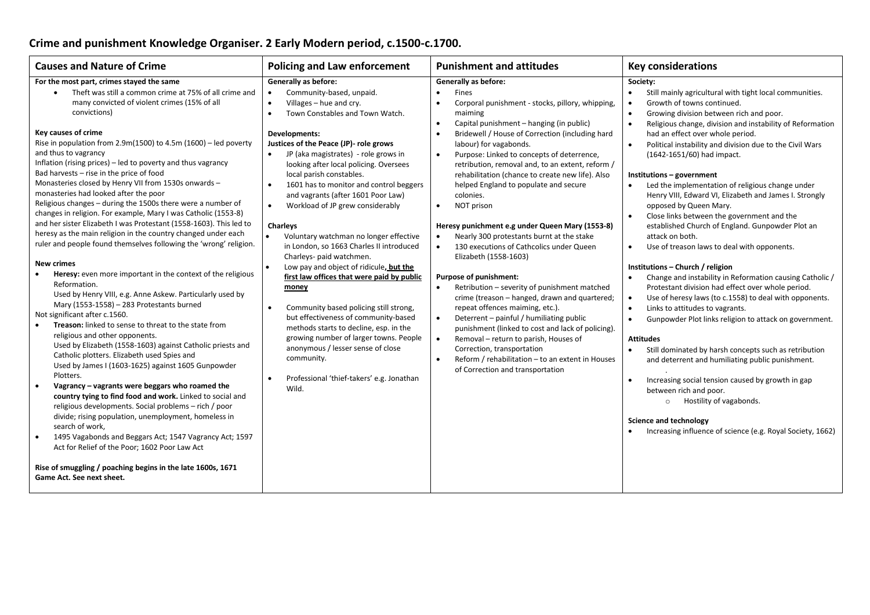## **Crime and punishment Knowledge Organiser. 2 Early Modern period, c.1500-c.1700.**

| <b>Causes and Nature of Crime</b>                                                                                                                                                                                                                                                                                                                                                                                                                                                                                                                                                                                                                                                                                                                                                                                                                                                                                                                                                                                                                                                                                                                                                                                                                                                                                                                                                                                                                                                                                                                                                                                                                                                                                                                                                                                                                                     | <b>Policing and Law enforcement</b>                                                                                                                                                                                                                                                                                                                                                                                                                                                                                                                                                                                                                                                                                                                                                                                                                                                                                                                                                                                     | <b>Punishment and attitudes</b>                                                                                                                                                                                                                                                                                                                                                                                                                                                                                                                                                                                                                                                                                                                                                                                                                                                                                                                                                                                                                                                                                                                      | <b>Key considerations</b>                                                                                                                                                                                                                                                                                                                                                                                                                                                                                                                                                                                                                                                                                                                                                                                                                                                                                                                                                                                                                                                                                                                                                                                                                                                                                                                                                       |
|-----------------------------------------------------------------------------------------------------------------------------------------------------------------------------------------------------------------------------------------------------------------------------------------------------------------------------------------------------------------------------------------------------------------------------------------------------------------------------------------------------------------------------------------------------------------------------------------------------------------------------------------------------------------------------------------------------------------------------------------------------------------------------------------------------------------------------------------------------------------------------------------------------------------------------------------------------------------------------------------------------------------------------------------------------------------------------------------------------------------------------------------------------------------------------------------------------------------------------------------------------------------------------------------------------------------------------------------------------------------------------------------------------------------------------------------------------------------------------------------------------------------------------------------------------------------------------------------------------------------------------------------------------------------------------------------------------------------------------------------------------------------------------------------------------------------------------------------------------------------------|-------------------------------------------------------------------------------------------------------------------------------------------------------------------------------------------------------------------------------------------------------------------------------------------------------------------------------------------------------------------------------------------------------------------------------------------------------------------------------------------------------------------------------------------------------------------------------------------------------------------------------------------------------------------------------------------------------------------------------------------------------------------------------------------------------------------------------------------------------------------------------------------------------------------------------------------------------------------------------------------------------------------------|------------------------------------------------------------------------------------------------------------------------------------------------------------------------------------------------------------------------------------------------------------------------------------------------------------------------------------------------------------------------------------------------------------------------------------------------------------------------------------------------------------------------------------------------------------------------------------------------------------------------------------------------------------------------------------------------------------------------------------------------------------------------------------------------------------------------------------------------------------------------------------------------------------------------------------------------------------------------------------------------------------------------------------------------------------------------------------------------------------------------------------------------------|---------------------------------------------------------------------------------------------------------------------------------------------------------------------------------------------------------------------------------------------------------------------------------------------------------------------------------------------------------------------------------------------------------------------------------------------------------------------------------------------------------------------------------------------------------------------------------------------------------------------------------------------------------------------------------------------------------------------------------------------------------------------------------------------------------------------------------------------------------------------------------------------------------------------------------------------------------------------------------------------------------------------------------------------------------------------------------------------------------------------------------------------------------------------------------------------------------------------------------------------------------------------------------------------------------------------------------------------------------------------------------|
| For the most part, crimes stayed the same<br>Theft was still a common crime at 75% of all crime and<br>many convicted of violent crimes (15% of all<br>convictions)<br>Key causes of crime<br>Rise in population from 2.9m(1500) to 4.5m (1600) - led poverty<br>and thus to vagrancy<br>Inflation (rising prices) – led to poverty and thus vagrancy<br>Bad harvests - rise in the price of food<br>Monasteries closed by Henry VII from 1530s onwards -<br>monasteries had looked after the poor<br>Religious changes - during the 1500s there were a number of<br>changes in religion. For example, Mary I was Catholic (1553-8)<br>and her sister Elizabeth I was Protestant (1558-1603). This led to<br>heresy as the main religion in the country changed under each<br>ruler and people found themselves following the 'wrong' religion.<br><b>New crimes</b><br>Heresy: even more important in the context of the religious<br>Reformation.<br>Used by Henry VIII, e.g. Anne Askew. Particularly used by<br>Mary (1553-1558) - 283 Protestants burned<br>Not significant after c.1560.<br><b>Treason:</b> linked to sense to threat to the state from<br>$\bullet$<br>religious and other opponents.<br>Used by Elizabeth (1558-1603) against Catholic priests and<br>Catholic plotters. Elizabeth used Spies and<br>Used by James I (1603-1625) against 1605 Gunpowder<br>Plotters.<br>Vagrancy - vagrants were beggars who roamed the<br>country tying to find food and work. Linked to social and<br>religious developments. Social problems - rich / poor<br>divide; rising population, unemployment, homeless in<br>search of work,<br>1495 Vagabonds and Beggars Act; 1547 Vagrancy Act; 1597<br>$\bullet$<br>Act for Relief of the Poor; 1602 Poor Law Act<br>Rise of smuggling / poaching begins in the late 1600s, 1671<br>Game Act. See next sheet. | <b>Generally as before:</b><br>Community-based, unpaid.<br>Villages - hue and cry.<br>$\bullet$<br>Town Constables and Town Watch.<br>$\bullet$<br>Developments:<br>Justices of the Peace (JP)- role grows<br>$\bullet$<br>JP (aka magistrates) - role grows in<br>looking after local policing. Oversees<br>local parish constables.<br>$\bullet$<br>1601 has to monitor and control beggers<br>and vagrants (after 1601 Poor Law)<br>Workload of JP grew considerably<br>$\bullet$<br><b>Charleys</b><br>Voluntary watchman no longer effective<br>in London, so 1663 Charles II introduced<br>Charleys- paid watchmen.<br>Low pay and object of ridicule, but the<br>first law offices that were paid by public<br>money<br>Community based policing still strong,<br>$\bullet$<br>but effectiveness of community-based<br>methods starts to decline, esp. in the<br>growing number of larger towns. People<br>anonymous / lesser sense of close<br>community.<br>Professional 'thief-takers' e.g. Jonathan<br>Wild. | <b>Generally as before:</b><br>Fines<br>$\bullet$<br>Corporal punishment - stocks, pillory, whipping,<br>$\bullet$<br>maiming<br>Capital punishment - hanging (in public)<br>$\bullet$<br>Bridewell / House of Correction (including hard<br>labour) for vagabonds.<br>Purpose: Linked to concepts of deterrence,<br>retribution, removal and, to an extent, reform /<br>rehabilitation (chance to create new life). Also<br>helped England to populate and secure<br>colonies.<br>NOT prison<br>$\bullet$<br>Heresy punichment e.g under Queen Mary (1553-8)<br>Nearly 300 protestants burnt at the stake<br>130 executions of Cathcolics under Queen<br>$\bullet$<br>Elizabeth (1558-1603)<br>Purpose of punishment:<br>Retribution - severity of punishment matched<br>crime (treason - hanged, drawn and quartered;<br>repeat offences maiming, etc.).<br>Deterrent - painful / humiliating public<br>$\bullet$<br>punishment (linked to cost and lack of policing).<br>Removal - return to parish, Houses of<br>$\bullet$<br>Correction, transportation<br>Reform / rehabilitation - to an extent in Houses<br>of Correction and transportation | Society:<br>Still mainly agricultural with tight local communities.<br>$\bullet$<br>Growth of towns continued.<br>Growing division between rich and poor.<br>Religious change, division and instability of Reformation<br>had an effect over whole period.<br>Political instability and division due to the Civil Wars<br>(1642-1651/60) had impact.<br>Institutions - government<br>Led the implementation of religious change under<br>Henry VIII, Edward VI, Elizabeth and James I. Strongly<br>opposed by Queen Mary.<br>Close links between the government and the<br>established Church of England. Gunpowder Plot an<br>attack on both.<br>Use of treason laws to deal with opponents.<br>$\bullet$<br>Institutions - Church / religion<br>Change and instability in Reformation causing Catholic /<br>Protestant division had effect over whole period.<br>Use of heresy laws (to c.1558) to deal with opponents.<br>Links to attitudes to vagrants.<br>Gunpowder Plot links religion to attack on government.<br>$\bullet$<br><b>Attitudes</b><br>Still dominated by harsh concepts such as retribution<br>and deterrent and humiliating public punishment.<br>Increasing social tension caused by growth in gap<br>between rich and poor.<br>o Hostility of vagabonds.<br><b>Science and technology</b><br>Increasing influence of science (e.g. Royal Society, 1662) |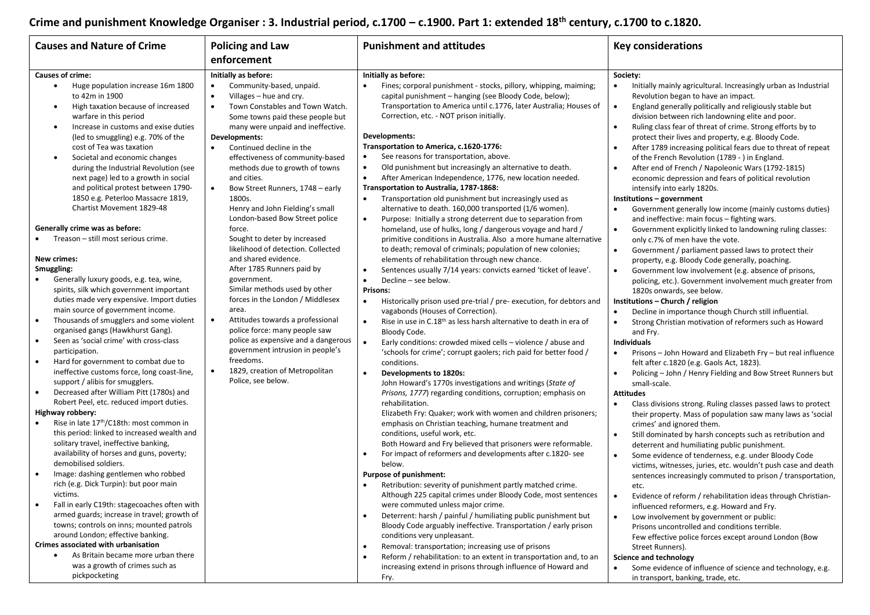# **Crime and punishment Knowledge Organiser : 3. Industrial period, c.1700 – c.1900. Part 1: extended 18th century, c.1700 to c.1820.**

| <b>Causes and Nature of Crime</b>                                                                                                                                                                                                                                                                                                                                                                                                                                                                                                                                                                                                                                                                                                                                                                                                                                                                    | <b>Policing and Law</b>                                                                                                                                                                                                                                                                                                                                                | <b>Punishment and attitudes</b>                                                                                                                                                                                                                                                                                                                                                                                                                                                                                                                                                                                                                                                                                                                                                                                                                                                                                                                                                                                                                                                 | <b>Key considerations</b>                                                                                                                                                                                                                                                                                                                                                                                                                                                                                                                                                                                                                                                                                                                                                                                                                                                                                                                                                                                                                                                                                                   |  |
|------------------------------------------------------------------------------------------------------------------------------------------------------------------------------------------------------------------------------------------------------------------------------------------------------------------------------------------------------------------------------------------------------------------------------------------------------------------------------------------------------------------------------------------------------------------------------------------------------------------------------------------------------------------------------------------------------------------------------------------------------------------------------------------------------------------------------------------------------------------------------------------------------|------------------------------------------------------------------------------------------------------------------------------------------------------------------------------------------------------------------------------------------------------------------------------------------------------------------------------------------------------------------------|---------------------------------------------------------------------------------------------------------------------------------------------------------------------------------------------------------------------------------------------------------------------------------------------------------------------------------------------------------------------------------------------------------------------------------------------------------------------------------------------------------------------------------------------------------------------------------------------------------------------------------------------------------------------------------------------------------------------------------------------------------------------------------------------------------------------------------------------------------------------------------------------------------------------------------------------------------------------------------------------------------------------------------------------------------------------------------|-----------------------------------------------------------------------------------------------------------------------------------------------------------------------------------------------------------------------------------------------------------------------------------------------------------------------------------------------------------------------------------------------------------------------------------------------------------------------------------------------------------------------------------------------------------------------------------------------------------------------------------------------------------------------------------------------------------------------------------------------------------------------------------------------------------------------------------------------------------------------------------------------------------------------------------------------------------------------------------------------------------------------------------------------------------------------------------------------------------------------------|--|
|                                                                                                                                                                                                                                                                                                                                                                                                                                                                                                                                                                                                                                                                                                                                                                                                                                                                                                      | enforcement                                                                                                                                                                                                                                                                                                                                                            |                                                                                                                                                                                                                                                                                                                                                                                                                                                                                                                                                                                                                                                                                                                                                                                                                                                                                                                                                                                                                                                                                 |                                                                                                                                                                                                                                                                                                                                                                                                                                                                                                                                                                                                                                                                                                                                                                                                                                                                                                                                                                                                                                                                                                                             |  |
| <b>Causes of crime:</b>                                                                                                                                                                                                                                                                                                                                                                                                                                                                                                                                                                                                                                                                                                                                                                                                                                                                              | Initially as before:                                                                                                                                                                                                                                                                                                                                                   | Initially as before:                                                                                                                                                                                                                                                                                                                                                                                                                                                                                                                                                                                                                                                                                                                                                                                                                                                                                                                                                                                                                                                            | Society:                                                                                                                                                                                                                                                                                                                                                                                                                                                                                                                                                                                                                                                                                                                                                                                                                                                                                                                                                                                                                                                                                                                    |  |
| Huge population increase 16m 1800<br>$\bullet$<br>to 42m in 1900<br>High taxation because of increased<br>$\bullet$<br>warfare in this period<br>Increase in customs and exise duties<br>$\bullet$                                                                                                                                                                                                                                                                                                                                                                                                                                                                                                                                                                                                                                                                                                   | $\bullet$<br>Community-based, unpaid.<br>Villages - hue and cry.<br>$\bullet$<br>$\bullet$<br>Town Constables and Town Watch.<br>Some towns paid these people but<br>many were unpaid and ineffective.                                                                                                                                                                 | Fines; corporal punishment - stocks, pillory, whipping, maiming;<br>$\bullet$<br>capital punishment - hanging (see Bloody Code, below);<br>Transportation to America until c.1776, later Australia; Houses of<br>Correction, etc. - NOT prison initially.                                                                                                                                                                                                                                                                                                                                                                                                                                                                                                                                                                                                                                                                                                                                                                                                                       | Initially mainly agricultural. Increasingly urban as Industrial<br>$\bullet$<br>Revolution began to have an impact.<br>England generally politically and religiously stable but<br>$\bullet$<br>division between rich landowning elite and poor.<br>Ruling class fear of threat of crime. Strong efforts by to<br>$\bullet$                                                                                                                                                                                                                                                                                                                                                                                                                                                                                                                                                                                                                                                                                                                                                                                                 |  |
| (led to smuggling) e.g. 70% of the                                                                                                                                                                                                                                                                                                                                                                                                                                                                                                                                                                                                                                                                                                                                                                                                                                                                   | Developments:                                                                                                                                                                                                                                                                                                                                                          | Developments:                                                                                                                                                                                                                                                                                                                                                                                                                                                                                                                                                                                                                                                                                                                                                                                                                                                                                                                                                                                                                                                                   | protect their lives and property, e.g. Bloody Code.                                                                                                                                                                                                                                                                                                                                                                                                                                                                                                                                                                                                                                                                                                                                                                                                                                                                                                                                                                                                                                                                         |  |
| cost of Tea was taxation<br>Societal and economic changes<br>$\bullet$<br>during the Industrial Revolution (see<br>next page) led to a growth in social<br>and political protest between 1790-                                                                                                                                                                                                                                                                                                                                                                                                                                                                                                                                                                                                                                                                                                       | Continued decline in the<br>$\bullet$<br>effectiveness of community-based<br>methods due to growth of towns<br>and cities.<br>$\bullet$<br>Bow Street Runners, 1748 - early                                                                                                                                                                                            | Transportation to America, c.1620-1776:<br>See reasons for transportation, above.<br>Old punishment but increasingly an alternative to death.<br>$\bullet$<br>After American Independence, 1776, new location needed.<br>$\bullet$<br>Transportation to Australia, 1787-1868:                                                                                                                                                                                                                                                                                                                                                                                                                                                                                                                                                                                                                                                                                                                                                                                                   | After 1789 increasing political fears due to threat of repeat<br>of the French Revolution (1789 - ) in England.<br>After end of French / Napoleonic Wars (1792-1815)<br>$\bullet$<br>economic depression and fears of political revolution<br>intensify into early 1820s.                                                                                                                                                                                                                                                                                                                                                                                                                                                                                                                                                                                                                                                                                                                                                                                                                                                   |  |
| 1850 e.g. Peterloo Massacre 1819,                                                                                                                                                                                                                                                                                                                                                                                                                                                                                                                                                                                                                                                                                                                                                                                                                                                                    |                                                                                                                                                                                                                                                                                                                                                                        | $\bullet$                                                                                                                                                                                                                                                                                                                                                                                                                                                                                                                                                                                                                                                                                                                                                                                                                                                                                                                                                                                                                                                                       |                                                                                                                                                                                                                                                                                                                                                                                                                                                                                                                                                                                                                                                                                                                                                                                                                                                                                                                                                                                                                                                                                                                             |  |
| Chartist Movement 1829-48<br>Generally crime was as before:<br>Treason - still most serious crime.                                                                                                                                                                                                                                                                                                                                                                                                                                                                                                                                                                                                                                                                                                                                                                                                   | 1800s.<br>Henry and John Fielding's small<br>London-based Bow Street police<br>force.<br>Sought to deter by increased<br>likelihood of detection. Collected                                                                                                                                                                                                            | Transportation old punishment but increasingly used as<br>alternative to death. 160,000 transported (1/6 women).<br>Purpose: Initially a strong deterrent due to separation from<br>$\bullet$<br>homeland, use of hulks, long / dangerous voyage and hard /<br>primitive conditions in Australia. Also a more humane alternative                                                                                                                                                                                                                                                                                                                                                                                                                                                                                                                                                                                                                                                                                                                                                | Institutions - government<br>Government generally low income (mainly customs duties)<br>$\bullet$<br>and ineffective: main focus - fighting wars.<br>Government explicitly linked to landowning ruling classes:<br>$\bullet$<br>only c.7% of men have the vote.                                                                                                                                                                                                                                                                                                                                                                                                                                                                                                                                                                                                                                                                                                                                                                                                                                                             |  |
| <b>New crimes:</b>                                                                                                                                                                                                                                                                                                                                                                                                                                                                                                                                                                                                                                                                                                                                                                                                                                                                                   | and shared evidence.                                                                                                                                                                                                                                                                                                                                                   | to death; removal of criminals; population of new colonies;<br>elements of rehabilitation through new chance.                                                                                                                                                                                                                                                                                                                                                                                                                                                                                                                                                                                                                                                                                                                                                                                                                                                                                                                                                                   | Government / parliament passed laws to protect their<br>$\bullet$                                                                                                                                                                                                                                                                                                                                                                                                                                                                                                                                                                                                                                                                                                                                                                                                                                                                                                                                                                                                                                                           |  |
|                                                                                                                                                                                                                                                                                                                                                                                                                                                                                                                                                                                                                                                                                                                                                                                                                                                                                                      |                                                                                                                                                                                                                                                                                                                                                                        |                                                                                                                                                                                                                                                                                                                                                                                                                                                                                                                                                                                                                                                                                                                                                                                                                                                                                                                                                                                                                                                                                 | property, e.g. Bloody Code generally, poaching.                                                                                                                                                                                                                                                                                                                                                                                                                                                                                                                                                                                                                                                                                                                                                                                                                                                                                                                                                                                                                                                                             |  |
| Smuggling:<br>Generally luxury goods, e.g. tea, wine,<br>spirits, silk which government important<br>duties made very expensive. Import duties<br>main source of government income.<br>Thousands of smugglers and some violent<br>$\bullet$<br>organised gangs (Hawkhurst Gang).<br>Seen as 'social crime' with cross-class<br>$\bullet$<br>participation.<br>Hard for government to combat due to<br>$\bullet$<br>ineffective customs force, long coast-line,<br>support / alibis for smugglers.<br>Decreased after William Pitt (1780s) and<br>$\bullet$<br>Robert Peel, etc. reduced import duties.<br>Highway robbery:<br>Rise in late 17 <sup>th</sup> /C18th: most common in<br>$\bullet$<br>this period: linked to increased wealth and<br>solitary travel, ineffective banking,<br>availability of horses and guns, poverty;<br>demobilised soldiers.<br>Image: dashing gentlemen who robbed | After 1785 Runners paid by<br>government.<br>Similar methods used by other<br>forces in the London / Middlesex<br>area.<br>Attitudes towards a professional<br>$\bullet$<br>police force: many people saw<br>police as expensive and a dangerous<br>government intrusion in people's<br>freedoms.<br>1829, creation of Metropolitan<br>$\bullet$<br>Police, see below. | Sentences usually 7/14 years: convicts earned 'ticket of leave'.<br>$\bullet$<br>$\bullet$<br>Decline - see below.<br><b>Prisons:</b><br>Historically prison used pre-trial / pre-execution, for debtors and<br>$\bullet$<br>vagabonds (Houses of Correction).<br>Rise in use in C.18 <sup>th</sup> as less harsh alternative to death in era of<br>$\bullet$<br>Bloody Code.<br>Early conditions: crowded mixed cells - violence / abuse and<br>$\bullet$<br>'schools for crime'; corrupt gaolers; rich paid for better food /<br>conditions.<br>$\bullet$<br>Developments to 1820s:<br>John Howard's 1770s investigations and writings (State of<br>Prisons, 1777) regarding conditions, corruption; emphasis on<br>rehabilitation.<br>Elizabeth Fry: Quaker; work with women and children prisoners;<br>emphasis on Christian teaching, humane treatment and<br>conditions, useful work, etc.<br>Both Howard and Fry believed that prisoners were reformable.<br>For impact of reformers and developments after c.1820- see<br>$\bullet$<br>below.<br>Purpose of punishment: | Government low involvement (e.g. absence of prisons,<br>$\bullet$<br>policing, etc.). Government involvement much greater from<br>1820s onwards, see below.<br>Institutions - Church / religion<br>Decline in importance though Church still influential.<br>$\bullet$<br>Strong Christian motivation of reformers such as Howard<br>$\bullet$<br>and Fry.<br>Individuals<br>Prisons – John Howard and Elizabeth Fry – but real influence<br>$\bullet$<br>felt after c.1820 (e.g. Gaols Act, 1823).<br>Policing - John / Henry Fielding and Bow Street Runners but<br>$\bullet$<br>small-scale.<br><b>Attitudes</b><br>Class divisions strong. Ruling classes passed laws to protect<br>$\bullet$<br>their property. Mass of population saw many laws as 'social<br>crimes' and ignored them.<br>Still dominated by harsh concepts such as retribution and<br>$\bullet$<br>deterrent and humiliating public punishment.<br>Some evidence of tenderness, e.g. under Bloody Code<br>$\bullet$<br>victims, witnesses, juries, etc. wouldn't push case and death<br>sentences increasingly commuted to prison / transportation, |  |
| rich (e.g. Dick Turpin): but poor main<br>victims.<br>Fall in early C19th: stagecoaches often with<br>armed guards; increase in travel; growth of<br>towns; controls on inns; mounted patrols<br>around London; effective banking.<br>Crimes associated with urbanisation<br>As Britain became more urban there<br>$\bullet$<br>was a growth of crimes such as<br>pickpocketing                                                                                                                                                                                                                                                                                                                                                                                                                                                                                                                      |                                                                                                                                                                                                                                                                                                                                                                        | Retribution: severity of punishment partly matched crime.<br>Although 225 capital crimes under Bloody Code, most sentences<br>were commuted unless major crime.<br>Deterrent: harsh / painful / humiliating public punishment but<br>$\bullet$<br>Bloody Code arguably ineffective. Transportation / early prison<br>conditions very unpleasant.<br>Removal: transportation; increasing use of prisons<br>$\bullet$<br>Reform / rehabilitation: to an extent in transportation and, to an<br>$\bullet$<br>increasing extend in prisons through influence of Howard and<br>Fry.                                                                                                                                                                                                                                                                                                                                                                                                                                                                                                  | etc.<br>Evidence of reform / rehabilitation ideas through Christian-<br>influenced reformers, e.g. Howard and Fry.<br>Low involvement by government or public:<br>$\bullet$<br>Prisons uncontrolled and conditions terrible.<br>Few effective police forces except around London (Bow<br>Street Runners).<br><b>Science and technology</b><br>Some evidence of influence of science and technology, e.g.<br>$\bullet$<br>in transport, banking, trade, etc.                                                                                                                                                                                                                                                                                                                                                                                                                                                                                                                                                                                                                                                                 |  |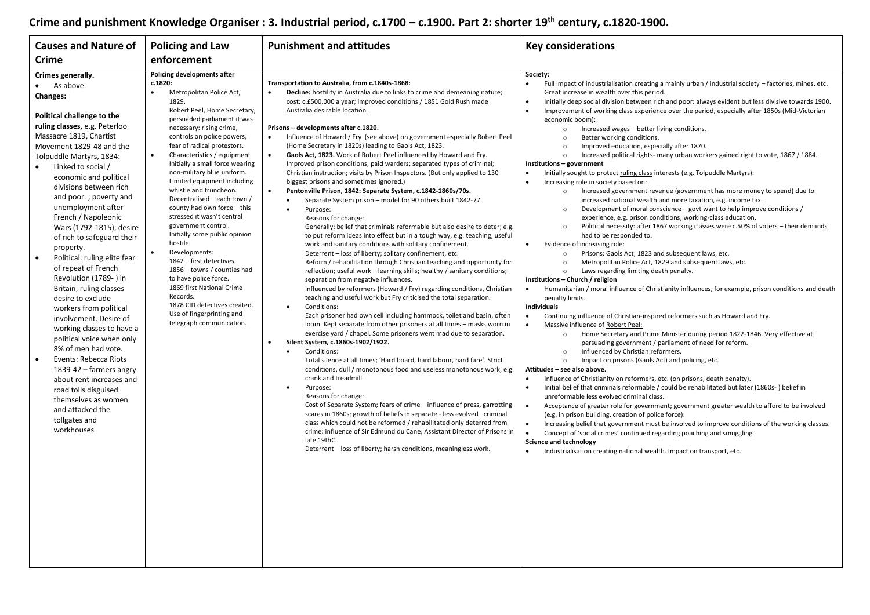# **Crime and punishment Knowledge Organiser : 3. Industrial period, c.1700 – c.1900. Part 2: shorter 19th century, c.1820-1900.**

| <b>Causes and Nature of</b>                                                                                                                                                                                                                                                                                                                                                                                                                                                                                                                                                                                                                                                                                                                                                                                                                                                                                               | <b>Policing and Law</b>                                                                                                                                                                                                                                                                                                                                                                                                                                                                                                                                                                                                                                                                                                                                                                                                                    | <b>Punishment and attitudes</b>                                                                                                                                                                                                                                                                                                                                                                                                                                                                                                                                                                                                                                                                                                                                                                                                                                                                                                                                                                                                                                                                                                                                                                                                                                                                                                                                                                                                                                                                                                                                                                                                                                                                                                                                                                                                                                                                                                                                                                                                                                                                                                                                                                                                                                                                                                                                                                                                                                                                                  | <b>Key considerations</b>                                                                                                                                                                                                                                                                                                                                                                                                                                                                                                                                                                                                                                                                                                                                                                                                                                                                                                                                                                                                                                                                                                                                                                                                                                                                                                                                                                                                                                                                                                                                                                                                                                                                                                                                                                                                                                                                                                                                                                                                                                                                                                                                                                                                                                                                                                                                                                                                                                                                                                                                                                                                                                                                                                                                                                                                                                                          |
|---------------------------------------------------------------------------------------------------------------------------------------------------------------------------------------------------------------------------------------------------------------------------------------------------------------------------------------------------------------------------------------------------------------------------------------------------------------------------------------------------------------------------------------------------------------------------------------------------------------------------------------------------------------------------------------------------------------------------------------------------------------------------------------------------------------------------------------------------------------------------------------------------------------------------|--------------------------------------------------------------------------------------------------------------------------------------------------------------------------------------------------------------------------------------------------------------------------------------------------------------------------------------------------------------------------------------------------------------------------------------------------------------------------------------------------------------------------------------------------------------------------------------------------------------------------------------------------------------------------------------------------------------------------------------------------------------------------------------------------------------------------------------------|------------------------------------------------------------------------------------------------------------------------------------------------------------------------------------------------------------------------------------------------------------------------------------------------------------------------------------------------------------------------------------------------------------------------------------------------------------------------------------------------------------------------------------------------------------------------------------------------------------------------------------------------------------------------------------------------------------------------------------------------------------------------------------------------------------------------------------------------------------------------------------------------------------------------------------------------------------------------------------------------------------------------------------------------------------------------------------------------------------------------------------------------------------------------------------------------------------------------------------------------------------------------------------------------------------------------------------------------------------------------------------------------------------------------------------------------------------------------------------------------------------------------------------------------------------------------------------------------------------------------------------------------------------------------------------------------------------------------------------------------------------------------------------------------------------------------------------------------------------------------------------------------------------------------------------------------------------------------------------------------------------------------------------------------------------------------------------------------------------------------------------------------------------------------------------------------------------------------------------------------------------------------------------------------------------------------------------------------------------------------------------------------------------------------------------------------------------------------------------------------------------------|------------------------------------------------------------------------------------------------------------------------------------------------------------------------------------------------------------------------------------------------------------------------------------------------------------------------------------------------------------------------------------------------------------------------------------------------------------------------------------------------------------------------------------------------------------------------------------------------------------------------------------------------------------------------------------------------------------------------------------------------------------------------------------------------------------------------------------------------------------------------------------------------------------------------------------------------------------------------------------------------------------------------------------------------------------------------------------------------------------------------------------------------------------------------------------------------------------------------------------------------------------------------------------------------------------------------------------------------------------------------------------------------------------------------------------------------------------------------------------------------------------------------------------------------------------------------------------------------------------------------------------------------------------------------------------------------------------------------------------------------------------------------------------------------------------------------------------------------------------------------------------------------------------------------------------------------------------------------------------------------------------------------------------------------------------------------------------------------------------------------------------------------------------------------------------------------------------------------------------------------------------------------------------------------------------------------------------------------------------------------------------------------------------------------------------------------------------------------------------------------------------------------------------------------------------------------------------------------------------------------------------------------------------------------------------------------------------------------------------------------------------------------------------------------------------------------------------------------------------------------------------|
| <b>Crime</b>                                                                                                                                                                                                                                                                                                                                                                                                                                                                                                                                                                                                                                                                                                                                                                                                                                                                                                              | enforcement                                                                                                                                                                                                                                                                                                                                                                                                                                                                                                                                                                                                                                                                                                                                                                                                                                |                                                                                                                                                                                                                                                                                                                                                                                                                                                                                                                                                                                                                                                                                                                                                                                                                                                                                                                                                                                                                                                                                                                                                                                                                                                                                                                                                                                                                                                                                                                                                                                                                                                                                                                                                                                                                                                                                                                                                                                                                                                                                                                                                                                                                                                                                                                                                                                                                                                                                                                  |                                                                                                                                                                                                                                                                                                                                                                                                                                                                                                                                                                                                                                                                                                                                                                                                                                                                                                                                                                                                                                                                                                                                                                                                                                                                                                                                                                                                                                                                                                                                                                                                                                                                                                                                                                                                                                                                                                                                                                                                                                                                                                                                                                                                                                                                                                                                                                                                                                                                                                                                                                                                                                                                                                                                                                                                                                                                                    |
| Crimes generally.<br>As above.<br><b>Changes:</b><br>Political challenge to the<br>ruling classes, e.g. Peterloo<br>Massacre 1819, Chartist<br>Movement 1829-48 and the<br>Tolpuddle Martyrs, 1834:<br>Linked to social /<br>$\bullet$<br>economic and political<br>divisions between rich<br>and poor.; poverty and<br>unemployment after<br>French / Napoleonic<br>Wars (1792-1815); desire<br>of rich to safeguard their<br>property.<br>Political: ruling elite fear<br>$\bullet$<br>of repeat of French<br>Revolution (1789-) in<br>Britain; ruling classes<br>desire to exclude<br>workers from political<br>involvement. Desire of<br>working classes to have a<br>political voice when only<br>8% of men had vote.<br>Events: Rebecca Riots<br>$\bullet$<br>1839-42 - farmers angry<br>about rent increases and<br>road tolls disguised<br>themselves as women<br>and attacked the<br>tollgates and<br>workhouses | Policing developments after<br>c.1820:<br>Metropolitan Police Act,<br>$\bullet$<br>1829.<br>Robert Peel, Home Secretary,<br>persuaded parliament it was<br>necessary: rising crime,<br>controls on police powers,<br>fear of radical protestors.<br>$\bullet$<br>Characteristics / equipment<br>Initially a small force wearing<br>non-military blue uniform.<br>Limited equipment including<br>whistle and truncheon.<br>Decentralised - each town /<br>county had own force - this<br>stressed it wasn't central<br>government control.<br>Initially some public opinion<br>hostile.<br>Developments:<br>$\bullet$<br>1842 - first detectives.<br>1856 - towns / counties had<br>to have police force.<br>1869 first National Crime<br>Records.<br>1878 CID detectives created.<br>Use of fingerprinting and<br>telegraph communication. | Transportation to Australia, from c.1840s-1868:<br>Decline: hostility in Australia due to links to crime and demeaning nature;<br>$\bullet$<br>cost: c.£500,000 a year; improved conditions / 1851 Gold Rush made<br>Australia desirable location.<br>Prisons - developments after c.1820.<br>Influence of Howard / Fry (see above) on government especially Robert Peel<br>$\bullet$<br>(Home Secretary in 1820s) leading to Gaols Act, 1823.<br>$\bullet$<br>Gaols Act, 1823. Work of Robert Peel influenced by Howard and Fry.<br>Improved prison conditions; paid warders; separated types of criminal;<br>Christian instruction; visits by Prison Inspectors. (But only applied to 130<br>biggest prisons and sometimes ignored.)<br>$\bullet$<br>Pentonville Prison, 1842: Separate System, c.1842-1860s/70s.<br>Separate System prison - model for 90 others built 1842-77.<br>$\bullet$<br>Purpose:<br>$\bullet$<br>Reasons for change:<br>Generally: belief that criminals reformable but also desire to deter; e.g.<br>to put reform ideas into effect but in a tough way, e.g. teaching, useful<br>work and sanitary conditions with solitary confinement.<br>Deterrent - loss of liberty; solitary confinement, etc.<br>Reform / rehabilitation through Christian teaching and opportunity for<br>reflection; useful work - learning skills; healthy / sanitary conditions;<br>separation from negative influences.<br>Influenced by reformers (Howard / Fry) regarding conditions, Christian<br>teaching and useful work but Fry criticised the total separation.<br>Conditions:<br>Each prisoner had own cell including hammock, toilet and basin, often<br>loom. Kept separate from other prisoners at all times - masks worn in<br>exercise yard / chapel. Some prisoners went mad due to separation.<br>Silent System, c.1860s-1902/1922.<br>$\bullet$<br>Conditions:<br>$\bullet$<br>Total silence at all times; 'Hard board, hard labour, hard fare'. Strict<br>conditions, dull / monotonous food and useless monotonous work, e.g.<br>crank and treadmill.<br>Purpose:<br>Reasons for change:<br>Cost of Separate System; fears of crime - influence of press, garrotting<br>scares in 1860s; growth of beliefs in separate - less evolved -criminal<br>class which could not be reformed / rehabilitated only deterred from<br>crime; influence of Sir Edmund du Cane, Assistant Director of Prisons in<br>late 19thC.<br>Deterrent - loss of liberty; harsh conditions, meaningless work. | Society:<br>Full impact of industrialisation creating a mainly urban / industrial society - factories, mines, etc.<br>$\bullet$<br>Great increase in wealth over this period.<br>Initially deep social division between rich and poor: always evident but less divisive towards 1900.<br>$\bullet$<br>Improvement of working class experience over the period, especially after 1850s (Mid-Victorian<br>economic boom):<br>Increased wages - better living conditions.<br>$\circ$<br>$\circ$<br>Better working conditions.<br>Improved education, especially after 1870.<br>$\circ$<br>Increased political rights- many urban workers gained right to vote, 1867 / 1884.<br>$\circ$<br>Institutions - government<br>Initially sought to protect ruling class interests (e.g. Tolpuddle Martyrs).<br>Increasing role in society based on:<br>Increased government revenue (government has more money to spend) due to<br>$\circ$<br>increased national wealth and more taxation, e.g. income tax.<br>Development of moral conscience – govt want to help improve conditions /<br>$\circ$<br>experience, e.g. prison conditions, working-class education.<br>$\circ$<br>Political necessity: after 1867 working classes were c.50% of voters - their demands<br>had to be responded to.<br>Evidence of increasing role:<br>$\bullet$<br>Prisons: Gaols Act, 1823 and subsequent laws, etc.<br>$\circ$<br>Metropolitan Police Act, 1829 and subsequent laws, etc.<br>$\circ$<br>Laws regarding limiting death penalty.<br>$\circ$<br>Institutions - Church / religion<br>Humanitarian / moral influence of Christianity influences, for example, prison conditions and death<br>penalty limits.<br><b>Individuals</b><br>Continuing influence of Christian-inspired reformers such as Howard and Fry.<br>$\bullet$<br>Massive influence of Robert Peel:<br>Home Secretary and Prime Minister during period 1822-1846. Very effective at<br>$\circ$<br>persuading government / parliament of need for reform.<br>Influenced by Christian reformers.<br>$\circ$<br>Impact on prisons (Gaols Act) and policing, etc.<br>$\circ$<br>Attitudes - see also above.<br>Influence of Christianity on reformers, etc. (on prisons, death penalty).<br>$\bullet$<br>$\bullet$<br>Initial belief that criminals reformable / could be rehabilitated but later (1860s-) belief in<br>unreformable less evolved criminal class.<br>Acceptance of greater role for government; government greater wealth to afford to be involved<br>(e.g. in prison building, creation of police force).<br>Increasing belief that government must be involved to improve conditions of the working classes.<br>$\bullet$<br>$\bullet$<br>Concept of 'social crimes' continued regarding poaching and smuggling.<br>Science and technology<br>Industrialisation creating national wealth. Impact on transport, etc. |